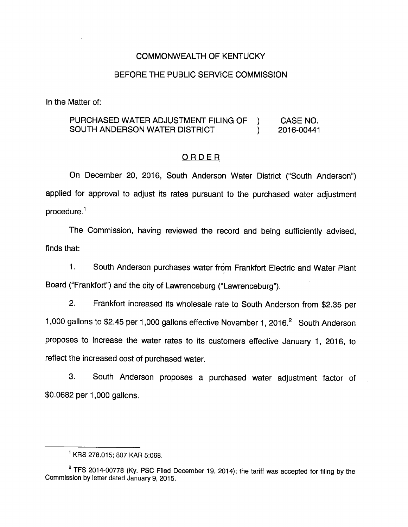## COMMONWEALTH OF KENTUCKY

#### BEFORE THE PUBLIC SERVICE COMMISSION

In the Matter of:

## PURCHASED WATER ADJUSTMENT FILING OF ) CASE NO. SOUTH ANDERSON WATER DISTRICT ) 2016-00441

## **ORDER**

On December 20, 2016, South Anderson Water District ("South Anderson") applied for approval to adjust its rates pursuant to the purchased water adjustment  $procedure<sup>1</sup>$ 

The Commission, having reviewed the record and being sufficiently advised, finds that:

1. South Anderson purchases water from Frankfort Electric and Water Plant Board ("Frankfort") and the city of Lawrenceburg ("Lawrenceburg").

2. Frankfort increased its wholesale rate to South Anderson from \$2.35 per 1,000 gallons to \$2.45 per 1,000 gallons effective November 1, 2016.<sup>2</sup> South Anderson proposes to increase the water rates to its customers effective January 1, 2016, to reflect the increased cost of purchased water.

3. South Anderson proposes a purchased water adjustment factor of \$0.0682 per 1,000 gallons.

 $^1$  KRS 278.015; 807 KAR 5:068.

 $2$  TFS 2014-00778 (Ky. PSC Filed December 19, 2014); the tariff was accepted for filing by the Commission by letter dated January 9, 2015.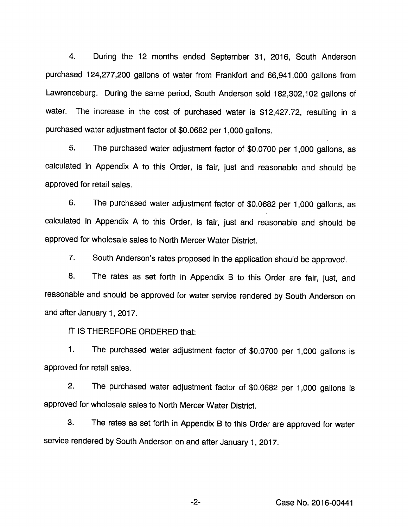4. During the 12 months ended September 31, 2016, South Anderson purchased 124,277,200 gallons of water from Frankfort and 66,941,000 gallons from Lawrenceburg. During the same period. South Anderson sold 182,302,102 gallons of water. The increase in the cost of purchased water is \$12,427.72, resulting in a purchased water adjustment factor of \$0.0682 per 1,000 gallons.

5. The purchased water adjustment factor of \$0.0700 per 1,000 gallons, as calculated in Appendix A to this Order, is fair, just and reasonable and should be approved for retail sales.

6. The purchased water adjustment factor of \$0.0682 per 1,000 gallons, as calculated in Appendix A to this Order, is fair, just and reasonable and should be approved for wholesale sales to North Mercer Water District.

7. South Anderson's rates proposed in the application should be approved.

8. The rates as set forth in Appendix B to this Order are fair, just, and reasonable and should be approved for water service rendered by South Anderson on and after January 1, 2017.

IT IS THEREFORE ORDERED that:

1. The purchased water adjustment factor of \$0.0700 per 1,000 gallons Is approved for retail sales.

2. The purchased water adjustment factor of \$0.0682 per 1,000 gallons Is approved for wholesale sales to North Mercer Water District.

3. The rates as set forth in Appendix B to this Order are approved for water service rendered by South Anderson on and after January 1, 2017.

-2- Case No. 2016-00441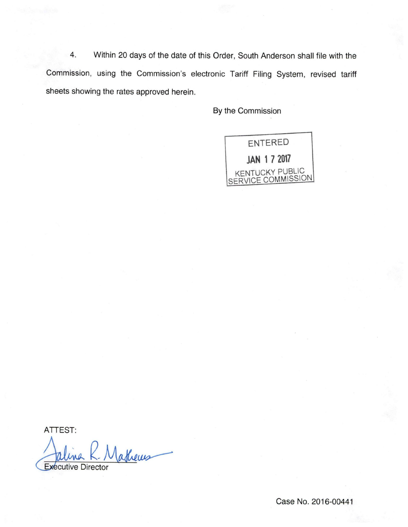4. Within 20 days of the date of this Order, South Anderson shall file with the Commission, using the Commission's electronic Tariff Filing System, revised tariff sheets showing the rates approved herein.

By the Commission



ATTEST:

 $\omega$ 

Executive Director

Case No. 2016-00441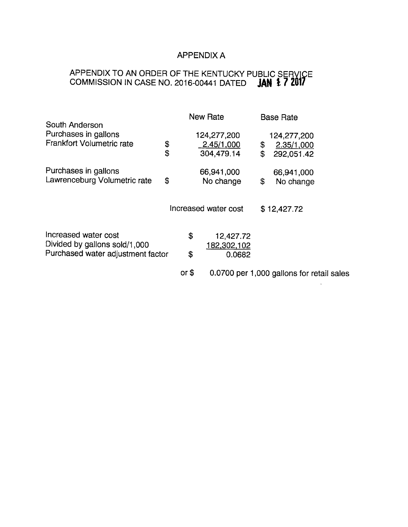## APPENDIX A

## APPENDIX TO AN ORDER OF THE KENTUCKY PUBLIC SERVICE COMMISSION IN CASE NO. 2016-00441 DATED  $\mathop{\mathsf{JAN}}\limits$   $\ddot{\mathop{\mathsf{X2}}}$

| South Anderson                    |        | <b>New Rate</b>      | <b>Base Rate</b>                          |  |
|-----------------------------------|--------|----------------------|-------------------------------------------|--|
| Purchases in gallons              |        | 124,277,200          | 124,277,200                               |  |
| <b>Frankfort Volumetric rate</b>  | \$     | 2.45/1,000           | \$<br>2.35/1,000                          |  |
|                                   | \$     | 304,479.14           | \$<br>292,051.42                          |  |
| Purchases in gallons              |        | 66,941,000           | 66,941,000                                |  |
| Lawrenceburg Volumetric rate      | \$     | No change            | \$<br>No change                           |  |
|                                   |        | Increased water cost | \$12,427.72                               |  |
|                                   |        |                      |                                           |  |
| Increased water cost              |        | \$<br>12,427.72      |                                           |  |
| Divided by gallons sold/1,000     |        | 182,302,102          |                                           |  |
| Purchased water adjustment factor | \$     | 0.0682               |                                           |  |
|                                   | or $$$ |                      | 0.0700 per 1,000 gallons for retail sales |  |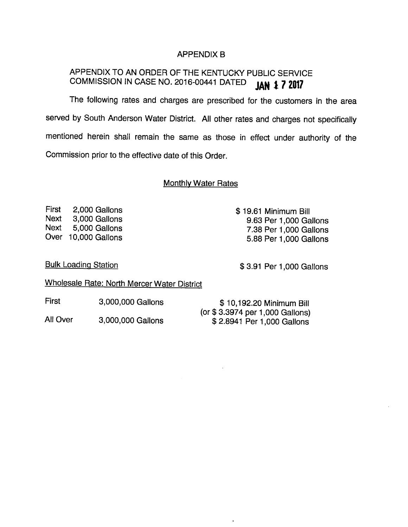## APPENDIX B

# APPENDIX TO AN ORDER OF THE KENTUCKY PUBLIC SERVICE COMMISSION IN CASE NO. 2016-00441 DATED  $\mathbf{JAN}$   $\ddagger$   $\mathbf{7}$   $\mathbf{2017}$

The following rates and charges are prescribed for the customers in the area served by South Anderson Water District. All other rates and charges not specifically mentioned herein shall remain the same as those in effect under authority of the Commission prior to the effective date of this Order.

## Monthlv Water Rates

First 2,000 Gallons Next 3,000 Gallons Next 5,000 Gallons Over 10,000 Gallons

\$ 19.61 Minimum Bill 9.63 Per 1,000 Gallons 7.38 Per 1,000 Gallons 5.88 Per 1,000 Gallons

Bulk Loading Station

\$ 3.91 Per 1,000 Gallons

\$ 10,192.20 Minimum Bill

 $\mathbf{r}$ 

Wholesale Rate: North Mercer Water District

First 3,000,000 Gallons

|                               | . <del>.</del>             | $\downarrow$ . $\downarrow$ . $\downarrow$ . $\downarrow$ . $\downarrow$ . $\downarrow$ . $\downarrow$ . $\downarrow$ . $\downarrow$ . $\downarrow$ . $\downarrow$ |
|-------------------------------|----------------------------|--------------------------------------------------------------------------------------------------------------------------------------------------------------------|
| All Over<br>3,000,000 Gallons |                            | (or \$3.3974 per 1,000 Gallons)                                                                                                                                    |
|                               | \$2.8941 Per 1,000 Gallons |                                                                                                                                                                    |